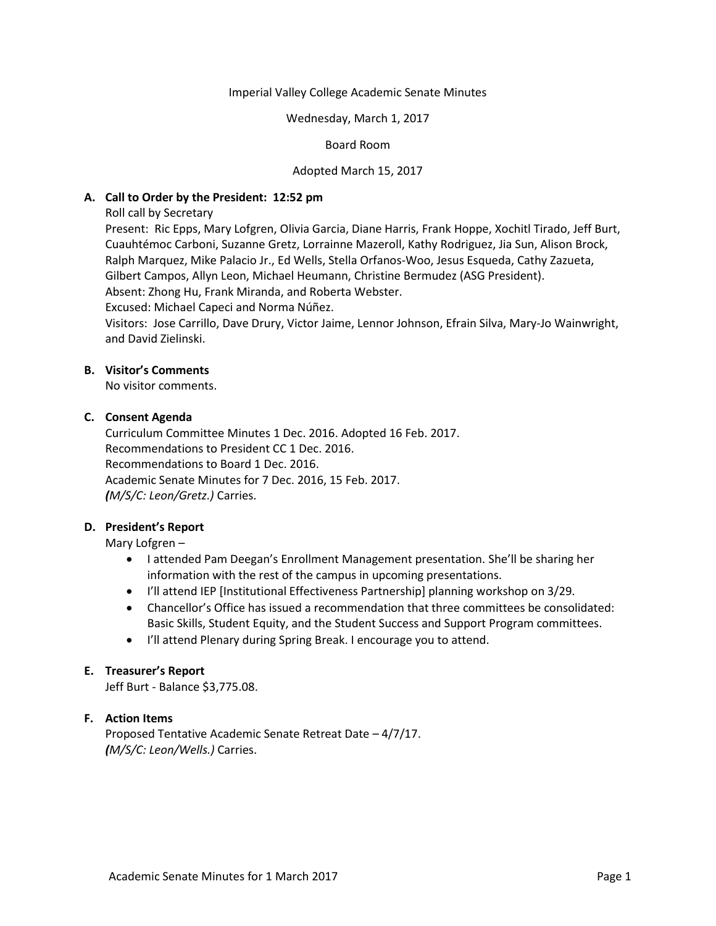#### Imperial Valley College Academic Senate Minutes

#### Wednesday, March 1, 2017

### Board Room

### Adopted March 15, 2017

### **A. Call to Order by the President: 12:52 pm**

Roll call by Secretary

Present: Ric Epps, Mary Lofgren, Olivia Garcia, Diane Harris, Frank Hoppe, Xochitl Tirado, Jeff Burt, Cuauhtémoc Carboni, Suzanne Gretz, Lorrainne Mazeroll, Kathy Rodriguez, Jia Sun, Alison Brock, Ralph Marquez, Mike Palacio Jr., Ed Wells, Stella Orfanos-Woo, Jesus Esqueda, Cathy Zazueta, Gilbert Campos, Allyn Leon, Michael Heumann, Christine Bermudez (ASG President). Absent: Zhong Hu, Frank Miranda, and Roberta Webster.

Excused: Michael Capeci and Norma Núñez.

Visitors: Jose Carrillo, Dave Drury, Victor Jaime, Lennor Johnson, Efrain Silva, Mary-Jo Wainwright, and David Zielinski.

# **B. Visitor's Comments**

No visitor comments.

## **C. Consent Agenda**

Curriculum Committee Minutes 1 Dec. 2016. Adopted 16 Feb. 2017. Recommendations to President CC 1 Dec. 2016. Recommendations to Board 1 Dec. 2016. Academic Senate Minutes for 7 Dec. 2016, 15 Feb. 2017. *(M/S/C: Leon/Gretz.)* Carries.

## **D. President's Report**

Mary Lofgren –

- I attended Pam Deegan's Enrollment Management presentation. She'll be sharing her information with the rest of the campus in upcoming presentations.
- I'll attend IEP [Institutional Effectiveness Partnership] planning workshop on 3/29.
- Chancellor's Office has issued a recommendation that three committees be consolidated: Basic Skills, Student Equity, and the Student Success and Support Program committees.
- I'll attend Plenary during Spring Break. I encourage you to attend.

## **E. Treasurer's Report**

Jeff Burt - Balance \$3,775.08.

## **F. Action Items**

Proposed Tentative Academic Senate Retreat Date – 4/7/17. *(M/S/C: Leon/Wells.)* Carries.